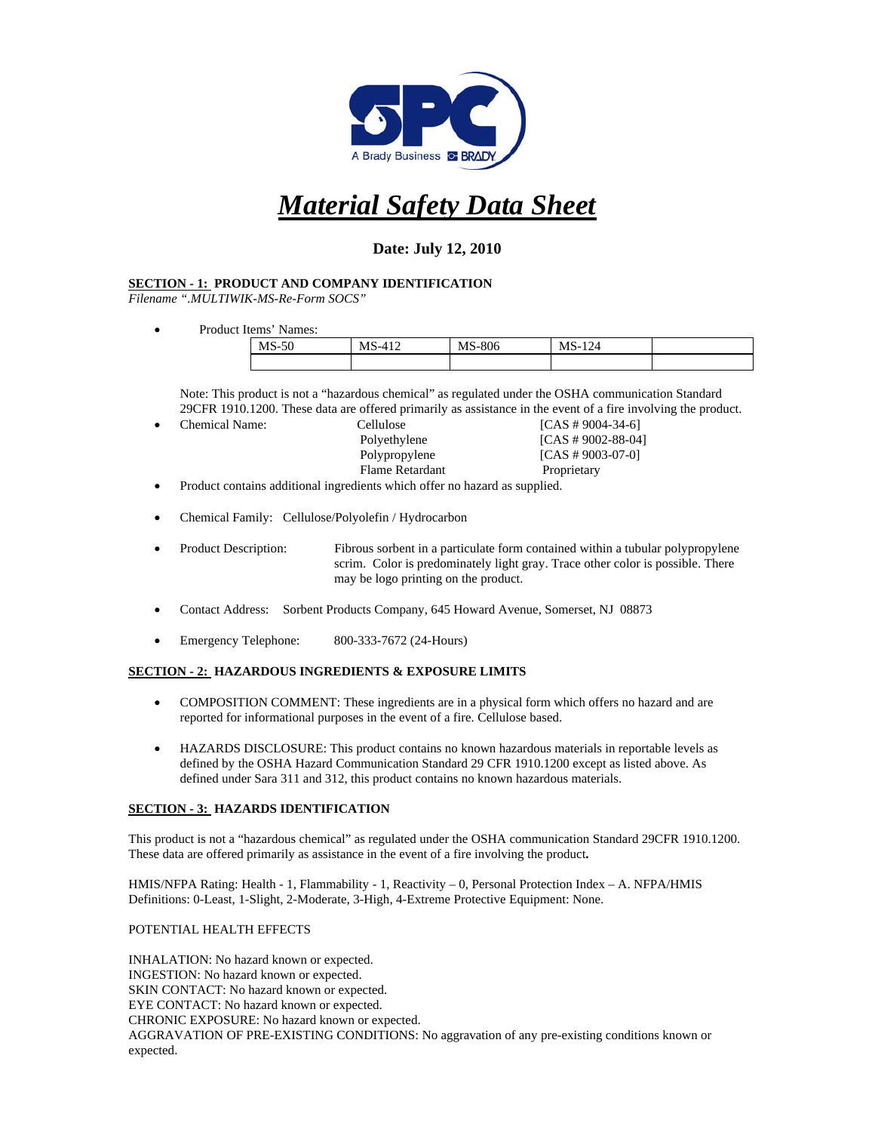

# *Material Safety Data Sheet*

# **Date: July 12, 2010**

# **SECTION - 1: PRODUCT AND COMPANY IDENTIFICATION**

*Filename ".MULTIWIK-MS-Re-Form SOCS"* 

Product Items' Names:

| <b>MS</b><br>$\sim$<br>∼-<br>∙J∪ | $\sim$<br>MS<br>৲-⊥<br>. | S-806<br>MS | 124<br>м<br>י -<br>--- |  |
|----------------------------------|--------------------------|-------------|------------------------|--|
|                                  |                          |             |                        |  |

 Note: This product is not a "hazardous chemical" as regulated under the OSHA communication Standard 29CFR 1910.1200. These data are offered primarily as assistance in the event of a fire involving the product.

- Chemical Name: Cellulose [CAS # 9004-34-6]<br>Polyethylene [CAS # 9002-88-04]  $[CAS # 9002-88-04]$ Polypropylene [CAS # 9003-07-0] Flame Retardant Proprietary Product contains additional ingredients which offer no hazard as supplied.
- Chemical Family: Cellulose/Polyolefin / Hydrocarbon
- Product Description: Fibrous sorbent in a particulate form contained within a tubular polypropylene scrim. Color is predominately light gray. Trace other color is possible. There may be logo printing on the product.
- Contact Address: Sorbent Products Company, 645 Howard Avenue, Somerset, NJ 08873
- Emergency Telephone: 800-333-7672 (24-Hours)

# **SECTION - 2: HAZARDOUS INGREDIENTS & EXPOSURE LIMITS**

- COMPOSITION COMMENT: These ingredients are in a physical form which offers no hazard and are reported for informational purposes in the event of a fire. Cellulose based.
- HAZARDS DISCLOSURE: This product contains no known hazardous materials in reportable levels as defined by the OSHA Hazard Communication Standard 29 CFR 1910.1200 except as listed above. As defined under Sara 311 and 312, this product contains no known hazardous materials.

### **SECTION - 3: HAZARDS IDENTIFICATION**

This product is not a "hazardous chemical" as regulated under the OSHA communication Standard 29CFR 1910.1200. These data are offered primarily as assistance in the event of a fire involving the product**.** 

HMIS/NFPA Rating: Health - 1, Flammability - 1, Reactivity – 0, Personal Protection Index – A. NFPA/HMIS Definitions: 0-Least, 1-Slight, 2-Moderate, 3-High, 4-Extreme Protective Equipment: None.

### POTENTIAL HEALTH EFFECTS

INHALATION: No hazard known or expected. INGESTION: No hazard known or expected. SKIN CONTACT: No hazard known or expected. EYE CONTACT: No hazard known or expected. CHRONIC EXPOSURE: No hazard known or expected. AGGRAVATION OF PRE-EXISTING CONDITIONS: No aggravation of any pre-existing conditions known or expected.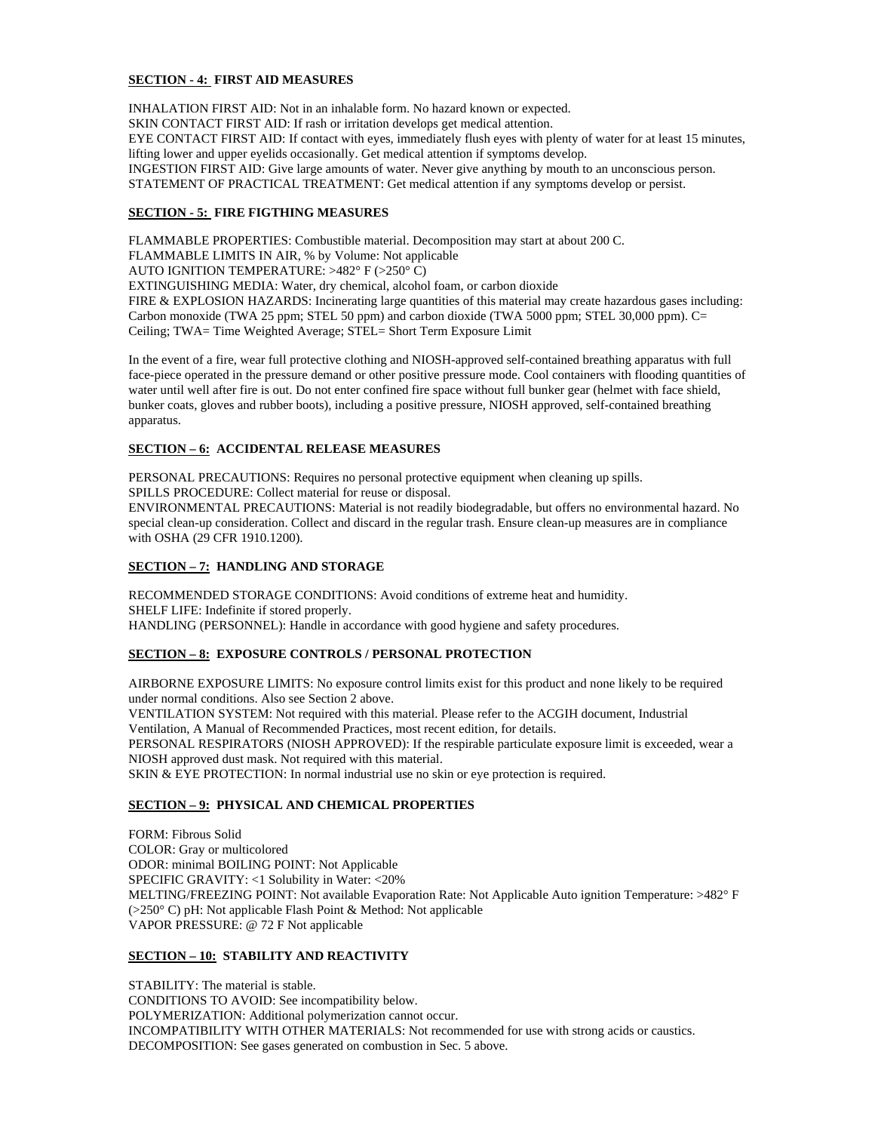### **SECTION - 4: FIRST AID MEASURES**

INHALATION FIRST AID: Not in an inhalable form. No hazard known or expected. SKIN CONTACT FIRST AID: If rash or irritation develops get medical attention. EYE CONTACT FIRST AID: If contact with eyes, immediately flush eyes with plenty of water for at least 15 minutes, lifting lower and upper eyelids occasionally. Get medical attention if symptoms develop. INGESTION FIRST AID: Give large amounts of water. Never give anything by mouth to an unconscious person. STATEMENT OF PRACTICAL TREATMENT: Get medical attention if any symptoms develop or persist.

## **SECTION - 5: FIRE FIGTHING MEASURES**

FLAMMABLE PROPERTIES: Combustible material. Decomposition may start at about 200 C. FLAMMABLE LIMITS IN AIR, % by Volume: Not applicable AUTO IGNITION TEMPERATURE: >482° F (>250° C) EXTINGUISHING MEDIA: Water, dry chemical, alcohol foam, or carbon dioxide FIRE & EXPLOSION HAZARDS: Incinerating large quantities of this material may create hazardous gases including: Carbon monoxide (TWA 25 ppm; STEL 50 ppm) and carbon dioxide (TWA 5000 ppm; STEL 30,000 ppm). C= Ceiling; TWA= Time Weighted Average; STEL= Short Term Exposure Limit

In the event of a fire, wear full protective clothing and NIOSH-approved self-contained breathing apparatus with full face-piece operated in the pressure demand or other positive pressure mode. Cool containers with flooding quantities of water until well after fire is out. Do not enter confined fire space without full bunker gear (helmet with face shield, bunker coats, gloves and rubber boots), including a positive pressure, NIOSH approved, self-contained breathing apparatus.

# **SECTION – 6: ACCIDENTAL RELEASE MEASURES**

PERSONAL PRECAUTIONS: Requires no personal protective equipment when cleaning up spills. SPILLS PROCEDURE: Collect material for reuse or disposal. ENVIRONMENTAL PRECAUTIONS: Material is not readily biodegradable, but offers no environmental hazard. No

special clean-up consideration. Collect and discard in the regular trash. Ensure clean-up measures are in compliance with OSHA (29 CFR 1910.1200).

# **SECTION – 7: HANDLING AND STORAGE**

RECOMMENDED STORAGE CONDITIONS: Avoid conditions of extreme heat and humidity. SHELF LIFE: Indefinite if stored properly. HANDLING (PERSONNEL): Handle in accordance with good hygiene and safety procedures.

# **SECTION – 8: EXPOSURE CONTROLS / PERSONAL PROTECTION**

AIRBORNE EXPOSURE LIMITS: No exposure control limits exist for this product and none likely to be required under normal conditions. Also see Section 2 above. VENTILATION SYSTEM: Not required with this material. Please refer to the ACGIH document, Industrial Ventilation, A Manual of Recommended Practices, most recent edition, for details. PERSONAL RESPIRATORS (NIOSH APPROVED): If the respirable particulate exposure limit is exceeded, wear a NIOSH approved dust mask. Not required with this material. SKIN & EYE PROTECTION: In normal industrial use no skin or eye protection is required.

### **SECTION – 9: PHYSICAL AND CHEMICAL PROPERTIES**

FORM: Fibrous Solid COLOR: Gray or multicolored ODOR: minimal BOILING POINT: Not Applicable SPECIFIC GRAVITY: <1 Solubility in Water: <20% MELTING/FREEZING POINT: Not available Evaporation Rate: Not Applicable Auto ignition Temperature: >482° F (>250° C) pH: Not applicable Flash Point & Method: Not applicable VAPOR PRESSURE: @ 72 F Not applicable

# **SECTION – 10: STABILITY AND REACTIVITY**

STABILITY: The material is stable. CONDITIONS TO AVOID: See incompatibility below. POLYMERIZATION: Additional polymerization cannot occur. INCOMPATIBILITY WITH OTHER MATERIALS: Not recommended for use with strong acids or caustics. DECOMPOSITION: See gases generated on combustion in Sec. 5 above.